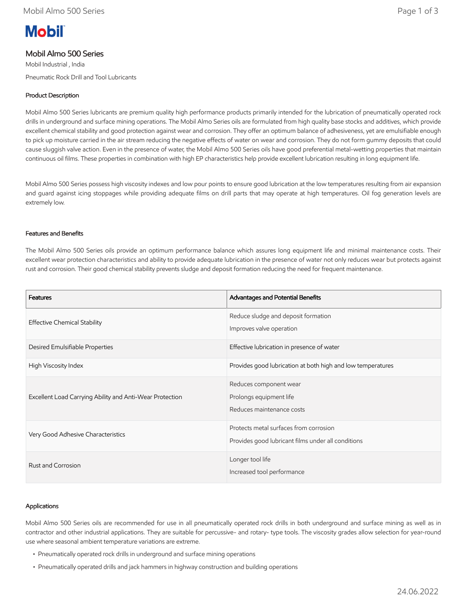# **Mobil**

## Mobil Almo 500 Series

Mobil Industrial , India Pneumatic Rock Drill and Tool Lubricants

## Product Description

Mobil Almo 500 Series lubricants are premium quality high performance products primarily intended for the lubrication of pneumatically operated rock drills in underground and surface mining operations. The Mobil Almo Series oils are formulated from high quality base stocks and additives, which provide excellent chemical stability and good protection against wear and corrosion. They offer an optimum balance of adhesiveness, yet are emulsifiable enough to pick up moisture carried in the air stream reducing the negative effects of water on wear and corrosion. They do not form gummy deposits that could cause sluggish valve action. Even in the presence of water, the Mobil Almo 500 Series oils have good preferential metal-wetting properties that maintain continuous oil films. These properties in combination with high EP characteristics help provide excellent lubrication resulting in long equipment life.

Mobil Almo 500 Series possess high viscosity indexes and low pour points to ensure good lubrication at the low temperatures resulting from air expansion and guard against icing stoppages while providing adequate films on drill parts that may operate at high temperatures. Oil fog generation levels are extremely low.

#### Features and Benefits

The Mobil Almo 500 Series oils provide an optimum performance balance which assures long equipment life and minimal maintenance costs. Their excellent wear protection characteristics and ability to provide adequate lubrication in the presence of water not only reduces wear but protects against rust and corrosion. Their good chemical stability prevents sludge and deposit formation reducing the need for frequent maintenance.

| Features                                                 | Advantages and Potential Benefits                                                            |  |
|----------------------------------------------------------|----------------------------------------------------------------------------------------------|--|
| <b>Effective Chemical Stability</b>                      | Reduce sludge and deposit formation<br>Improves valve operation                              |  |
| Desired Emulsifiable Properties                          | Effective lubrication in presence of water                                                   |  |
| High Viscosity Index                                     | Provides good lubrication at both high and low temperatures                                  |  |
| Excellent Load Carrying Ability and Anti-Wear Protection | Reduces component wear<br>Prolongs equipment life<br>Reduces maintenance costs               |  |
| Very Good Adhesive Characteristics                       | Protects metal surfaces from corrosion<br>Provides good lubricant films under all conditions |  |
| Rust and Corrosion                                       | Longer tool life<br>Increased tool performance                                               |  |

#### Applications

Mobil Almo 500 Series oils are recommended for use in all pneumatically operated rock drills in both underground and surface mining as well as in contractor and other industrial applications. They are suitable for percussive- and rotary- type tools. The viscosity grades allow selection for year-round use where seasonal ambient temperature variations are extreme.

- Pneumatically operated rock drills in underground and surface mining operations
- Pneumatically operated drills and jack hammers in highway construction and building operations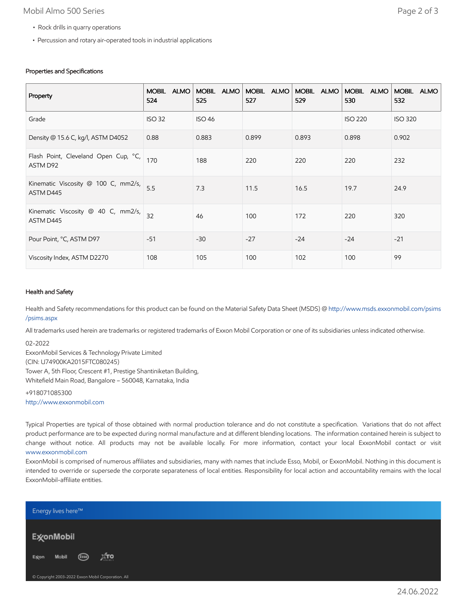## Mobil Almo 500 Series Page 2 of 3

- Rock drills in quarry operations
- Percussion and rotary air-operated tools in industrial applications

## Properties and Specifications

| Property                                         | <b>ALMO</b><br><b>MOBIL</b><br>524 | MOBIL ALMO<br>525 | MOBIL ALMO<br>527 | MOBIL ALMO<br>529 | MOBIL ALMO<br>530 | <b>MOBIL</b><br><b>ALMO</b><br>532 |
|--------------------------------------------------|------------------------------------|-------------------|-------------------|-------------------|-------------------|------------------------------------|
| Grade                                            | <b>ISO 32</b>                      | <b>ISO 46</b>     |                   |                   | <b>ISO 220</b>    | <b>ISO 320</b>                     |
| Density @ 15.6 C, kg/l, ASTM D4052               | 0.88                               | 0.883             | 0.899             | 0.893             | 0.898             | 0.902                              |
| Flash Point, Cleveland Open Cup, °C,<br>ASTM D92 | 170                                | 188               | 220               | 220               | 220               | 232                                |
| Kinematic Viscosity @ 100 C, mm2/s,<br>ASTM D445 | 5.5                                | 7.3               | 11.5              | 16.5              | 19.7              | 24.9                               |
| Kinematic Viscosity @ 40 C, mm2/s,<br>ASTM D445  | 32                                 | 46                | 100               | 172               | 220               | 320                                |
| Pour Point, °C, ASTM D97                         | $-51$                              | $-30$             | $-27$             | $-24$             | $-24$             | $-21$                              |
| Viscosity Index, ASTM D2270                      | 108                                | 105               | 100               | 102               | 100               | 99                                 |

#### Health and Safety

Health and Safety recommendations for this product can be found on the Material Safety Data Sheet (MSDS) @ [http://www.msds.exxonmobil.com/psims](http://www.msds.exxonmobil.com/psims/psims.aspx) /psims.aspx

All trademarks used herein are trademarks or registered trademarks of Exxon Mobil Corporation or one of its subsidiaries unless indicated otherwise.

02-2022

ExxonMobil Services & Technology Private Limited (CIN: U74900KA2015FTC080245) Tower A, 5th Floor, Crescent #1, Prestige Shantiniketan Building, Whitefield Main Road, Bangalore – 560048, Karnataka, India

+918071085300 [http://www.exxonmobil.com](http://www.exxonmobil.com/)

Typical Properties are typical of those obtained with normal production tolerance and do not constitute a specification. Variations that do not affect product performance are to be expected during normal manufacture and at different blending locations. The information contained herein is subject to change without notice. All products may not be available locally. For more information, contact your local ExxonMobil contact or visit [www.exxonmobil.com](http://www.exxonmobil.com/)

ExxonMobil is comprised of numerous affiliates and subsidiaries, many with names that include Esso, Mobil, or ExxonMobil. Nothing in this document is intended to override or supersede the corporate separateness of local entities. Responsibility for local action and accountability remains with the local ExxonMobil-affiliate entities.